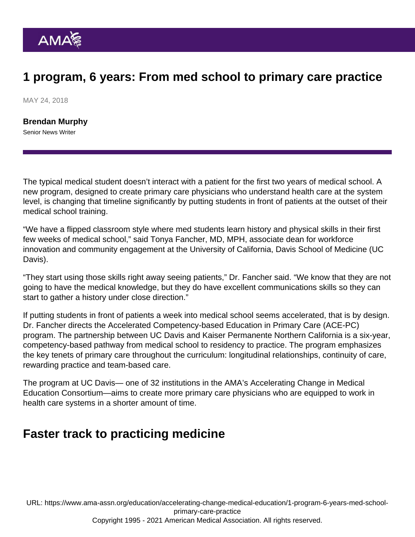## 1 program, 6 years: From med school to primary care practice

MAY 24, 2018

[Brendan Murphy](https://www.ama-assn.org/news-leadership-viewpoints/authors-news-leadership-viewpoints/brendan-murphy) Senior News Writer

The typical medical student doesn't interact with a patient for the first two years of medical school. A new program, designed to create primary care physicians who understand health care at the system level, is changing that timeline significantly by putting students in front of patients at the outset of their medical school training.

"We have a flipped classroom style where med students learn history and physical skills in their first few weeks of medical school," said Tonya Fancher, MD, MPH, associate dean for workforce innovation and community engagement at the University of California, Davis School of Medicine (UC Davis).

"They start using those skills right away seeing patients," Dr. Fancher said. "We know that they are not going to have the medical knowledge, but they do have excellent communications skills so they can start to gather a history under close direction."

If putting students in front of patients a week into medical school seems accelerated, that is by design. Dr. Fancher directs the Accelerated Competency-based Education in Primary Care (ACE-PC) program. The partnership between UC Davis and Kaiser Permanente Northern California is a six-year, competency-based pathway from medical school to residency to practice. The program emphasizes the key tenets of primary care throughout the curriculum: longitudinal relationships, continuity of care, rewarding practice and team-based care.

The program at UC Davis— one of 32 institutions in the AMA's [Accelerating Change in Medical](https://www.ama-assn.org/education/accelerating-change-medical-education) [Education Consortium](https://www.ama-assn.org/education/accelerating-change-medical-education)—aims to create more primary care physicians who are equipped to work in health care systems in a shorter amount of time.

## Faster track to practicing medicine

URL: [https://www.ama-assn.org/education/accelerating-change-medical-education/1-program-6-years-med-school](https://www.ama-assn.org/education/accelerating-change-medical-education/1-program-6-years-med-school-primary-care-practice)[primary-care-practice](https://www.ama-assn.org/education/accelerating-change-medical-education/1-program-6-years-med-school-primary-care-practice)